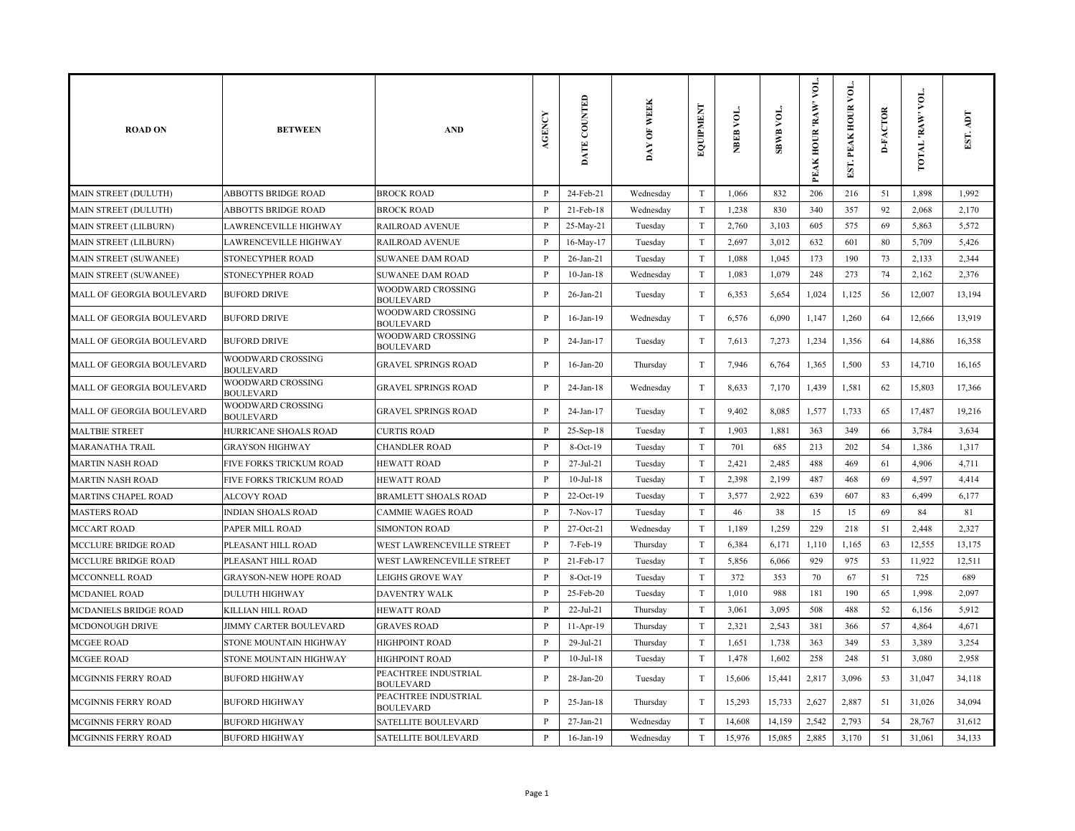| <b>ROAD ON</b>               | <b>BETWEEN</b>                        | <b>AND</b>                               | <b>AGENCY</b>  | DATE COUNTED    | DAY OF WEEK | EQUIPMENT                 | NBEB VOL. | <b>SBWB VOL.</b> | yог.<br>PEAK HOUR 'RAW' | ğ<br>PEAK HOUR<br>EST. | <b>D-FACTOR</b> | VOL.<br><b>TOTAL RAW</b> | ICV<br>EST. |
|------------------------------|---------------------------------------|------------------------------------------|----------------|-----------------|-------------|---------------------------|-----------|------------------|-------------------------|------------------------|-----------------|--------------------------|-------------|
| <b>MAIN STREET (DULUTH)</b>  | <b>ABBOTTS BRIDGE ROAD</b>            | <b>BROCK ROAD</b>                        | $\mathbf{P}$   | 24-Feb-21       | Wednesday   | T                         | 1,066     | 832              | 206                     | 216                    | 51              | 1,898                    | 1,992       |
| MAIN STREET (DULUTH)         | <b>ABBOTTS BRIDGE ROAD</b>            | <b>BROCK ROAD</b>                        | P              | 21-Feb-18       | Wednesday   | T                         | 1,238     | 830              | 340                     | 357                    | 92              | 2,068                    | 2,170       |
| MAIN STREET (LILBURN)        | LAWRENCEVILLE HIGHWAY                 | RAILROAD AVENUE                          | $\mathbf{P}$   | 25-May-21       | Tuesday     | $\rm T$                   | 2,760     | 3,103            | 605                     | 575                    | 69              | 5,863                    | 5,572       |
| <b>MAIN STREET (LILBURN)</b> | LAWRENCEVILLE HIGHWAY                 | <b>RAILROAD AVENUE</b>                   | $\mathbf{P}$   | 16-May-17       | Tuesday     | T                         | 2,697     | 3,012            | 632                     | 601                    | 80              | 5,709                    | 5,426       |
| <b>MAIN STREET (SUWANEE)</b> | STONECYPHER ROAD                      | <b>SUWANEE DAM ROAD</b>                  | P              | $26$ -Jan- $21$ | Tuesday     | T                         | 1,088     | 1,045            | 173                     | 190                    | 73              | 2,133                    | 2,344       |
| <b>MAIN STREET (SUWANEE)</b> | STONECYPHER ROAD                      | <b>SUWANEE DAM ROAD</b>                  | $\mathbf{P}$   | $10$ -Jan- $18$ | Wednesday   | T                         | 1,083     | 1,079            | 248                     | 273                    | 74              | 2,162                    | 2,376       |
| MALL OF GEORGIA BOULEVARD    | <b>BUFORD DRIVE</b>                   | WOODWARD CROSSING<br><b>BOULEVARD</b>    | $\mathbf{P}$   | $26$ -Jan- $21$ | Tuesday     | T                         | 6,353     | 5,654            | 1,024                   | 1,125                  | 56              | 12,007                   | 13,194      |
| MALL OF GEORGIA BOULEVARD    | <b>BUFORD DRIVE</b>                   | WOODWARD CROSSING<br><b>BOULEVARD</b>    | $\mathbf{P}$   | $16$ -Jan- $19$ | Wednesday   | $\ensuremath{\mathrm{T}}$ | 6,576     | 6,090            | 1,147                   | 1,260                  | 64              | 12,666                   | 13,919      |
| MALL OF GEORGIA BOULEVARD    | <b>BUFORD DRIVE</b>                   | WOODWARD CROSSING<br><b>BOULEVARD</b>    | $\mathbf{P}$   | 24-Jan-17       | Tuesday     | T                         | 7,613     | 7,273            | 1,234                   | 1,356                  | 64              | 14,886                   | 16,358      |
| MALL OF GEORGIA BOULEVARD    | WOODWARD CROSSING<br><b>BOULEVARD</b> | <b>GRAVEL SPRINGS ROAD</b>               | $\, {\bf P}$   | $16$ -Jan-20    | Thursday    | $\ensuremath{\mathrm{T}}$ | 7,946     | 6,764            | 1,365                   | 1,500                  | 53              | 14,710                   | 16,165      |
| MALL OF GEORGIA BOULEVARD    | WOODWARD CROSSING<br><b>BOULEVARD</b> | <b>GRAVEL SPRINGS ROAD</b>               | $\mathbf{P}$   | $24$ -Jan-18    | Wednesday   | T                         | 8,633     | 7,170            | 1,439                   | 1,581                  | 62              | 15,803                   | 17,366      |
| MALL OF GEORGIA BOULEVARD    | WOODWARD CROSSING<br><b>BOULEVARD</b> | <b>GRAVEL SPRINGS ROAD</b>               | $\mathbf{P}$   | 24-Jan-17       | Tuesday     | $\rm T$                   | 9,402     | 8,085            | 1,577                   | 1,733                  | 65              | 17,487                   | 19,216      |
| <b>MALTBIE STREET</b>        | HURRICANE SHOALS ROAD                 | <b>CURTIS ROAD</b>                       | $\mathbf{P}$   | 25-Sep-18       | Tuesday     | $\mathbf T$               | 1,903     | 1,881            | 363                     | 349                    | 66              | 3,784                    | 3,634       |
| <b>MARANATHA TRAIL</b>       | <b>GRAYSON HIGHWAY</b>                | <b>CHANDLER ROAD</b>                     | $\, {\bf P}$   | 8-Oct-19        | Tuesday     | $\mathbf T$               | 701       | 685              | 213                     | 202                    | 54              | 1,386                    | 1,317       |
| <b>MARTIN NASH ROAD</b>      | FIVE FORKS TRICKUM ROAD               | <b>HEWATT ROAD</b>                       | P              | $27 - Jul - 21$ | Tuesday     | $\mathbf T$               | 2,421     | 2,485            | 488                     | 469                    | 61              | 4,906                    | 4,711       |
| <b>MARTIN NASH ROAD</b>      | FIVE FORKS TRICKUM ROAD               | <b>HEWATT ROAD</b>                       | $\mathbf{P}$   | $10$ -Jul- $18$ | Tuesday     | T                         | 2,398     | 2,199            | 487                     | 468                    | 69              | 4,597                    | 4,414       |
| <b>MARTINS CHAPEL ROAD</b>   | ALCOVY ROAD                           | <b>BRAMLETT SHOALS ROAD</b>              | $\mathbf{P}$   | $22-Oct-19$     | Tuesday     | T                         | 3,577     | 2,922            | 639                     | 607                    | 83              | 6,499                    | 6,177       |
| <b>MASTERS ROAD</b>          | <b>INDIAN SHOALS ROAD</b>             | <b>CAMMIE WAGES ROAD</b>                 | P              | 7-Nov-17        | Tuesday     | T                         | 46        | 38               | 15                      | 15                     | 69              | 84                       | 81          |
| <b>MCCART ROAD</b>           | PAPER MILL ROAD                       | <b>SIMONTON ROAD</b>                     | $\mathbf{P}$   | 27-Oct-21       | Wednesday   | $\rm T$                   | 1,189     | 1,259            | 229                     | 218                    | 51              | 2,448                    | 2,327       |
| <b>MCCLURE BRIDGE ROAD</b>   | PLEASANT HILL ROAD                    | WEST LAWRENCEVILLE STREET                | $\mathbf{P}$   | 7-Feb-19        | Thursday    | $\ensuremath{\mathrm{T}}$ | 6,384     | 6,171            | 1,110                   | 1,165                  | 63              | 12,555                   | 13,175      |
| <b>MCCLURE BRIDGE ROAD</b>   | PLEASANT HILL ROAD                    | WEST LAWRENCEVILLE STREET                | $\overline{P}$ | 21-Feb-17       | Tuesday     | $\mathbf T$               | 5,856     | 6,066            | 929                     | 975                    | 53              | 11,922                   | 12,511      |
| <b>MCCONNELL ROAD</b>        | <b>GRAYSON-NEW HOPE ROAD</b>          | LEIGHS GROVE WAY                         | $\mathbf{P}$   | $8-Oct-19$      | Tuesday     | T                         | 372       | 353              | 70                      | 67                     | 51              | 725                      | 689         |
| <b>MCDANIEL ROAD</b>         | <b>DULUTH HIGHWAY</b>                 | <b>DAVENTRY WALK</b>                     | P              | 25-Feb-20       | Tuesday     | $\mathbf T$               | 1,010     | 988              | 181                     | 190                    | 65              | 1,998                    | 2,097       |
| <b>MCDANIELS BRIDGE ROAD</b> | KILLIAN HILL ROAD                     | <b>HEWATT ROAD</b>                       | $\mathbf{P}$   | 22-Jul-21       | Thursday    | $\rm T$                   | 3,061     | 3,095            | 508                     | 488                    | 52              | 6,156                    | 5,912       |
| MCDONOUGH DRIVE              | JIMMY CARTER BOULEVARD                | <b>GRAVES ROAD</b>                       | $\, {\bf P}$   | 11-Apr-19       | Thursday    | $\ensuremath{\mathrm{T}}$ | 2,321     | 2,543            | 381                     | 366                    | 57              | 4,864                    | 4,671       |
| <b>MCGEE ROAD</b>            | STONE MOUNTAIN HIGHWAY                | <b>HIGHPOINT ROAD</b>                    | $\mathbf{P}$   | 29-Jul-21       | Thursday    | T                         | 1,651     | 1,738            | 363                     | 349                    | 53              | 3,389                    | 3,254       |
| MCGEE ROAD                   | STONE MOUNTAIN HIGHWAY                | <b>HIGHPOINT ROAD</b>                    | $\mathbf{P}$   | 10-Jul-18       | Tuesday     | $\mathbf T$               | 1,478     | 1,602            | 258                     | 248                    | 51              | 3,080                    | 2,958       |
| MCGINNIS FERRY ROAD          | <b>BUFORD HIGHWAY</b>                 | PEACHTREE INDUSTRIAL<br><b>BOULEVARD</b> | $\mathbf{P}$   | $28$ -Jan- $20$ | Tuesday     | $\ensuremath{\mathrm{T}}$ | 15,606    | 15,441           | 2,817                   | 3,096                  | 53              | 31,047                   | 34,118      |
| <b>MCGINNIS FERRY ROAD</b>   | <b>BUFORD HIGHWAY</b>                 | PEACHTREE INDUSTRIAL<br><b>BOULEVARD</b> | P              | $25$ -Jan-18    | Thursday    | T                         | 15,293    | 15,733           | 2,627                   | 2,887                  | 51              | 31,026                   | 34,094      |
| <b>MCGINNIS FERRY ROAD</b>   | <b>BUFORD HIGHWAY</b>                 | <b>SATELLITE BOULEVARD</b>               | P              | $27-Ian-21$     | Wednesday   | T                         | 14,608    | 14,159           | 2,542                   | 2,793                  | 54              | 28,767                   | 31,612      |
| MCGINNIS FERRY ROAD          | <b>BUFORD HIGHWAY</b>                 | <b>SATELLITE BOULEVARD</b>               | $\mathbf{P}$   | $16$ -Jan- $19$ | Wednesday   | $\rm T$                   | 15,976    | 15,085           | 2,885                   | 3,170                  | 51              | 31,061                   | 34,133      |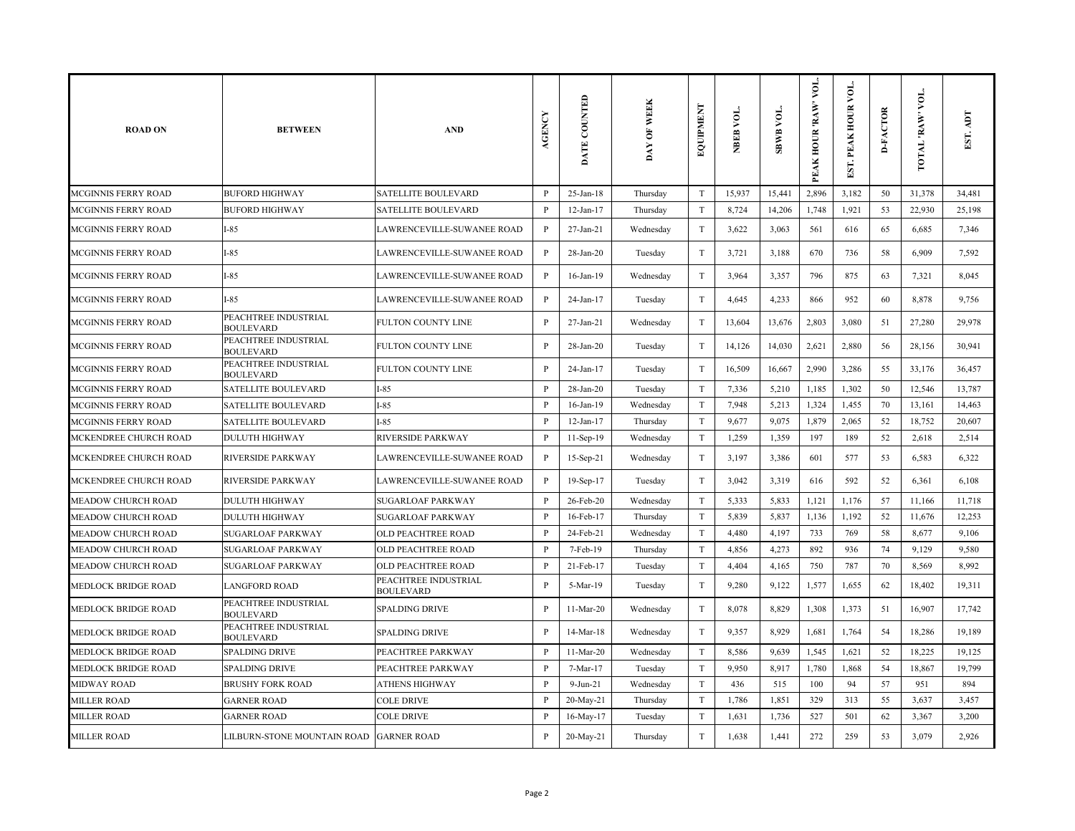| <b>ROAD ON</b>             | <b>BETWEEN</b>                           | <b>AND</b>                               | <b>AGENCY</b> | DATE COUNTED    | DAY OF WEEK | <b>EQUIPMENT</b>          | NBEB VOL. | yoı.<br><b>SBWB</b> | yог.<br>PEAK HOUR 'RAW' | ΣQ<br>PEAK HOUR<br>EST. | <b>D-FACTOR</b> | VOL.<br>TOTAL 'RAW | EST. ADT |
|----------------------------|------------------------------------------|------------------------------------------|---------------|-----------------|-------------|---------------------------|-----------|---------------------|-------------------------|-------------------------|-----------------|--------------------|----------|
| <b>MCGINNIS FERRY ROAD</b> | <b>BUFORD HIGHWAY</b>                    | <b>SATELLITE BOULEVARD</b>               | P             | $25$ -Jan-18    | Thursday    | T                         | 15,937    | 15,441              | 2,896                   | 3,182                   | 50              | 31,378             | 34,481   |
| MCGINNIS FERRY ROAD        | <b>BUFORD HIGHWAY</b>                    | <b>SATELLITE BOULEVARD</b>               | P             | $12-Jan-17$     | Thursday    | $\rm T$                   | 8,724     | 14,206              | 1,748                   | 1,921                   | 53              | 22,930             | 25,198   |
| <b>MCGINNIS FERRY ROAD</b> | I-85                                     | LAWRENCEVILLE-SUWANEE ROAD               | $\mathbf{P}$  | 27-Jan-21       | Wednesday   | $\rm T$                   | 3,622     | 3,063               | 561                     | 616                     | 65              | 6,685              | 7,346    |
| <b>MCGINNIS FERRY ROAD</b> | $-85$                                    | LAWRENCEVILLE-SUWANEE ROAD               | $\mathbf{P}$  | $28$ -Jan- $20$ | Tuesday     | $\mathbf T$               | 3,721     | 3,188               | 670                     | 736                     | 58              | 6,909              | 7,592    |
| MCGINNIS FERRY ROAD        | $I-85$                                   | LAWRENCEVILLE-SUWANEE ROAD               | $\, {\bf P}$  | 16-Jan-19       | Wednesday   | $\ensuremath{\mathrm{T}}$ | 3,964     | 3,357               | 796                     | 875                     | 63              | 7,321              | 8,045    |
| <b>MCGINNIS FERRY ROAD</b> | $I-85$                                   | LAWRENCEVILLE-SUWANEE ROAD               | $\mathbf{P}$  | 24-Jan-17       | Tuesday     | $\rm T$                   | 4,645     | 4,233               | 866                     | 952                     | 60              | 8,878              | 9,756    |
| MCGINNIS FERRY ROAD        | PEACHTREE INDUSTRIAL<br><b>BOULEVARD</b> | FULTON COUNTY LINE                       | $\, {\bf P}$  | 27-Jan-21       | Wednesday   | $\rm T$                   | 13,604    | 13,676              | 2,803                   | 3,080                   | 51              | 27,280             | 29,978   |
| <b>MCGINNIS FERRY ROAD</b> | PEACHTREE INDUSTRIAL<br><b>BOULEVARD</b> | FULTON COUNTY LINE                       | P             | $28$ -Jan- $20$ | Tuesday     | $\ensuremath{\mathrm{T}}$ | 14,126    | 14,030              | 2,621                   | 2,880                   | 56              | 28,156             | 30,941   |
| MCGINNIS FERRY ROAD        | PEACHTREE INDUSTRIAL<br><b>BOULEVARD</b> | FULTON COUNTY LINE                       | P             | 24-Jan-17       | Tuesday     | $\ensuremath{\mathrm{T}}$ | 16,509    | 16,667              | 2,990                   | 3,286                   | 55              | 33,176             | 36,457   |
| MCGINNIS FERRY ROAD        | <b>SATELLITE BOULEVARD</b>               | $I-85$                                   | $\mathbf{P}$  | $28$ -Jan- $20$ | Tuesday     | $\rm T$                   | 7,336     | 5,210               | 1,185                   | 1,302                   | 50              | 12,546             | 13,787   |
| MCGINNIS FERRY ROAD        | SATELLITE BOULEVARD                      | $I-85$                                   | P             | $16$ -Jan- $19$ | Wednesday   | $\ensuremath{\mathrm{T}}$ | 7,948     | 5,213               | 1,324                   | 1,455                   | 70              | 13,161             | 14,463   |
| MCGINNIS FERRY ROAD        | SATELLITE BOULEVARD                      | $I-85$                                   | P             | $12$ -Jan- $17$ | Thursday    | T                         | 9,677     | 9,075               | 1,879                   | 2,065                   | 52              | 18,752             | 20,607   |
| MCKENDREE CHURCH ROAD      | <b>DULUTH HIGHWAY</b>                    | <b>RIVERSIDE PARKWAY</b>                 | $\mathbf{P}$  | 11-Sep-19       | Wednesday   | $\rm T$                   | 1,259     | 1,359               | 197                     | 189                     | 52              | 2,618              | 2,514    |
| MCKENDREE CHURCH ROAD      | RIVERSIDE PARKWAY                        | LAWRENCEVILLE-SUWANEE ROAD               | $\mathbf{P}$  | $15-Sep-21$     | Wednesday   | T                         | 3,197     | 3,386               | 601                     | 577                     | 53              | 6,583              | 6,322    |
| MCKENDREE CHURCH ROAD      | RIVERSIDE PARKWAY                        | LAWRENCEVILLE-SUWANEE ROAD               | $\, {\bf P}$  | 19-Sep-17       | Tuesday     | $\mathbf T$               | 3,042     | 3,319               | 616                     | 592                     | 52              | 6,361              | 6,108    |
| MEADOW CHURCH ROAD         | <b>DULUTH HIGHWAY</b>                    | <b>SUGARLOAF PARKWAY</b>                 | $\mathbf{P}$  | 26-Feb-20       | Wednesday   | $\ensuremath{\mathrm{T}}$ | 5,333     | 5,833               | 1,121                   | 1,176                   | 57              | 11,166             | 11,718   |
| MEADOW CHURCH ROAD         | <b>DULUTH HIGHWAY</b>                    | <b>SUGARLOAF PARKWAY</b>                 | $\, {\bf P}$  | 16-Feb-17       | Thursday    | $\rm T$                   | 5,839     | 5,837               | 1,136                   | 1,192                   | 52              | 11,676             | 12,253   |
| MEADOW CHURCH ROAD         | <b>SUGARLOAF PARKWAY</b>                 | OLD PEACHTREE ROAD                       | P             | 24-Feb-21       | Wednesday   | $\mathbf T$               | 4,480     | 4,197               | 733                     | 769                     | 58              | 8,677              | 9,106    |
| MEADOW CHURCH ROAD         | <b>SUGARLOAF PARKWAY</b>                 | <b>OLD PEACHTREE ROAD</b>                | P             | 7-Feb-19        | Thursday    | $\rm T$                   | 4,856     | 4,273               | 892                     | 936                     | 74              | 9,129              | 9,580    |
| MEADOW CHURCH ROAD         | SUGARLOAF PARKWAY                        | OLD PEACHTREE ROAD                       | $\mathbf{P}$  | 21-Feb-17       | Tuesday     | T                         | 4,404     | 4,165               | 750                     | 787                     | 70              | 8,569              | 8,992    |
| MEDLOCK BRIDGE ROAD        | <b>LANGFORD ROAD</b>                     | PEACHTREE INDUSTRIAL<br><b>BOULEVARD</b> | P             | 5-Mar-19        | Tuesday     | $\mathbf T$               | 9,280     | 9,122               | 1,577                   | 1,655                   | 62              | 18,402             | 19,311   |
| MEDLOCK BRIDGE ROAD        | PEACHTREE INDUSTRIAL<br><b>BOULEVARD</b> | <b>SPALDING DRIVE</b>                    | P             | 11-Mar-20       | Wednesday   | $\ensuremath{\mathrm{T}}$ | 8,078     | 8,829               | 1,308                   | 1,373                   | 51              | 16,907             | 17,742   |
| MEDLOCK BRIDGE ROAD        | PEACHTREE INDUSTRIAL<br><b>BOULEVARD</b> | <b>SPALDING DRIVE</b>                    | $\, {\bf P}$  | 14-Mar-18       | Wednesday   | $\ensuremath{\mathrm{T}}$ | 9,357     | 8,929               | 1,681                   | 1,764                   | 54              | 18,286             | 19,189   |
| MEDLOCK BRIDGE ROAD        | <b>SPALDING DRIVE</b>                    | PEACHTREE PARKWAY                        | $\mathbf{P}$  | 11-Mar-20       | Wednesday   | $\rm T$                   | 8,586     | 9,639               | 1,545                   | 1,621                   | 52              | 18,225             | 19,125   |
| MEDLOCK BRIDGE ROAD        | <b>SPALDING DRIVE</b>                    | PEACHTREE PARKWAY                        | P             | 7-Mar-17        | Tuesday     | $\mathbf T$               | 9,950     | 8,917               | 1,780                   | 1,868                   | 54              | 18,867             | 19,799   |
| MIDWAY ROAD                | <b>BRUSHY FORK ROAD</b>                  | <b>ATHENS HIGHWAY</b>                    | P             | $9-Jun-21$      | Wednesday   | T                         | 436       | 515                 | 100                     | 94                      | 57              | 951                | 894      |
| <b>MILLER ROAD</b>         | <b>GARNER ROAD</b>                       | <b>COLE DRIVE</b>                        | P             | 20-May-21       | Thursday    | $\rm T$                   | 1,786     | 1,851               | 329                     | 313                     | 55              | 3,637              | 3,457    |
| MILLER ROAD                | <b>GARNER ROAD</b>                       | <b>COLE DRIVE</b>                        | $\, {\bf P}$  | 16-May-17       | Tuesday     | $\ensuremath{\mathrm{T}}$ | 1,631     | 1,736               | 527                     | 501                     | 62              | 3,367              | 3,200    |
| <b>MILLER ROAD</b>         | LILBURN-STONE MOUNTAIN ROAD GARNER ROAD  |                                          | P             | 20-May-21       | Thursday    | $\mathbf T$               | 1,638     | 1,441               | 272                     | 259                     | 53              | 3,079              | 2,926    |